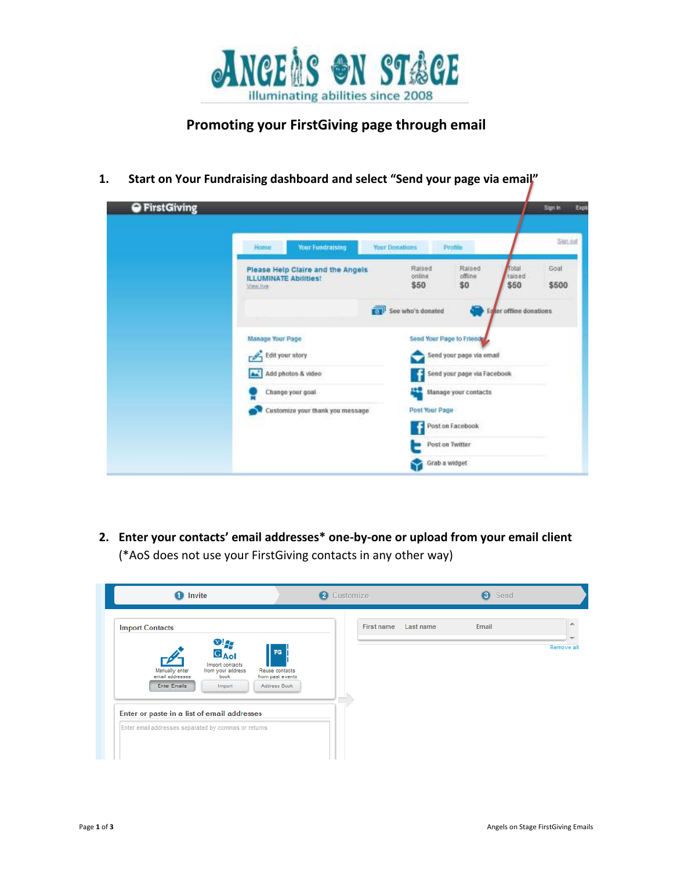

## **Promoting your FirstGiving page through email**

**1. Start on Your Fundraising dashboard and select "Send your page via email"**

| <b>O</b> First Giving |                                                                                |                                    |                                                           |                          | <b>Sign In</b> | Expir |
|-----------------------|--------------------------------------------------------------------------------|------------------------------------|-----------------------------------------------------------|--------------------------|----------------|-------|
|                       | Home<br>Your Fundraising                                                       | <b>Your Donations</b>              | Profile                                                   |                          | 586.84         |       |
|                       | Please Help Claire and the Angels<br><b>ILLUMINATE Abilities!</b><br>View Ilim | 153121<br>Raised<br>online<br>\$50 | Raised<br>offline<br>\$0                                  | Total<br>raised<br>\$50  | Goal<br>\$500  |       |
|                       |                                                                                | See who's donated                  |                                                           | En for offline donations |                |       |
|                       | <b>Manage Your Page</b>                                                        |                                    | Send Your Page to Friend                                  |                          |                |       |
|                       | Edit your story                                                                |                                    | Send your page via email                                  |                          |                |       |
|                       | Add photos & video                                                             |                                    | Send your page via Facebook<br>42<br>Manage your contacts |                          |                |       |
|                       | Change your goal                                                               |                                    |                                                           |                          |                |       |
|                       | Customize your thank you message                                               |                                    | Post Your Page                                            |                          |                |       |
|                       |                                                                                |                                    | Post on Facebook                                          |                          |                |       |
|                       |                                                                                |                                    | Post on Twitter                                           |                          |                |       |
|                       |                                                                                |                                    | Grab a widget                                             |                          |                |       |

**2. Enter your contacts' email addresses\* one-by-one or upload from your email client** (\*AoS does not use your FirstGiving contacts in any other way)

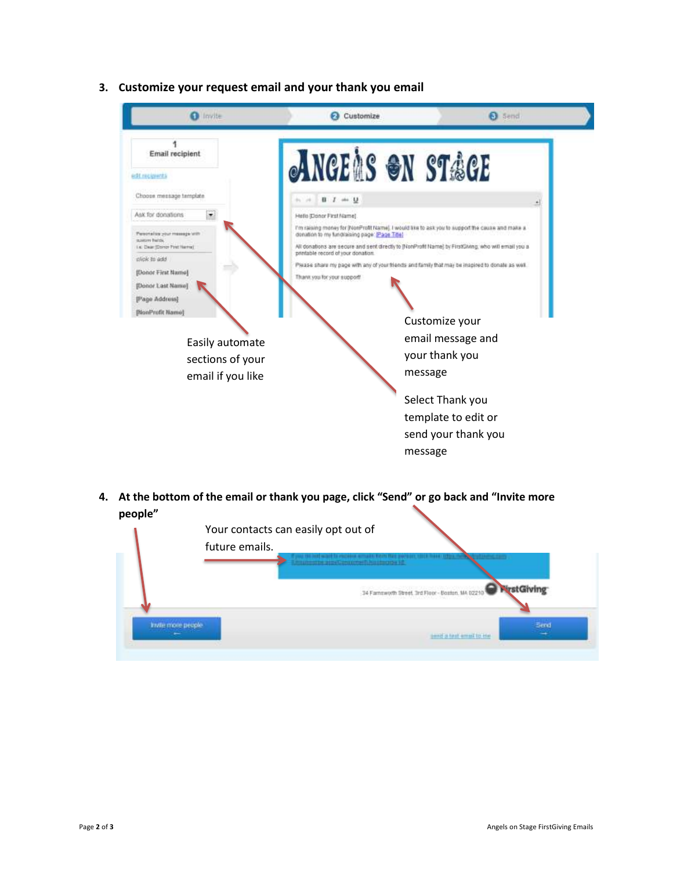

**3. Customize your request email and your thank you email**

**4. At the bottom of the email or thank you page, click "Send" or go back and "Invite more people"**